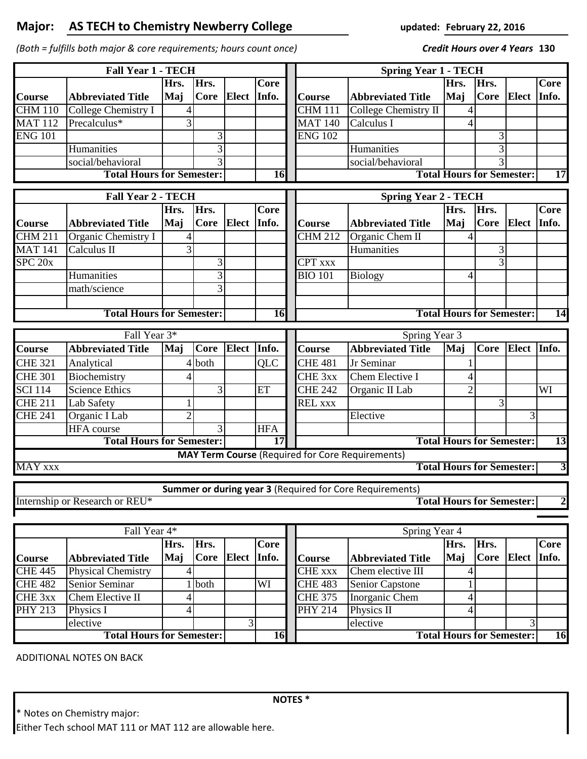## **Major: updated: AS TECH to Chemistry Newberry College**

*(Both = fulfills both major & core requirements; hours count once)* **130**

**February 22, 2016**

*Credit Hours over 4 Years*

| <b>Fall Year 1 - TECH</b>                               |                                                         |                |             |                |             |    | <b>Spring Year 1 - TECH</b>                   |                                                          |                                  |             |                |                         |  |
|---------------------------------------------------------|---------------------------------------------------------|----------------|-------------|----------------|-------------|----|-----------------------------------------------|----------------------------------------------------------|----------------------------------|-------------|----------------|-------------------------|--|
|                                                         |                                                         | Hrs.           | Hrs.        |                | Core        |    |                                               |                                                          | Hrs.                             | Hrs.        |                | Core                    |  |
| Course                                                  | <b>Abbreviated Title</b>                                | Maj            | Core        | <b>Elect</b>   | Info.       |    | Course                                        | <b>Abbreviated Title</b>                                 | Maj                              | Core        | <b>Elect</b>   | Info.                   |  |
| <b>CHM 110</b>                                          | College Chemistry I                                     | 4              |             |                |             |    | <b>CHM 111</b>                                | College Chemistry II                                     | 4                                |             |                |                         |  |
| <b>MAT 112</b>                                          | Precalculus*                                            | 3              |             |                |             |    | <b>MAT 140</b>                                | Calculus I                                               | 4                                |             |                |                         |  |
| <b>ENG 101</b>                                          |                                                         |                | 3           |                |             |    | <b>ENG 102</b>                                |                                                          |                                  | 3           |                |                         |  |
|                                                         | Humanities                                              |                | 3           |                |             |    |                                               | Humanities                                               |                                  | 3           |                |                         |  |
|                                                         | social/behavioral                                       |                | 3           |                |             |    |                                               | social/behavioral                                        |                                  |             |                |                         |  |
| <b>Total Hours for Semester:</b><br>16                  |                                                         |                |             |                |             |    | <b>Total Hours for Semester:</b><br>17        |                                                          |                                  |             |                |                         |  |
| <b>Fall Year 2 - TECH</b>                               |                                                         |                |             |                |             |    | <b>Spring Year 2 - TECH</b>                   |                                                          |                                  |             |                |                         |  |
|                                                         |                                                         | Hrs.           | Hrs.        |                | <b>Core</b> |    |                                               |                                                          | Hrs.                             | Hrs.        |                | Core                    |  |
| Course                                                  | <b>Abbreviated Title</b>                                | Maj            | <b>Core</b> | <b>Elect</b>   | Info.       |    | Course                                        | <b>Abbreviated Title</b>                                 | Maj                              | Core        | <b>Elect</b>   | Info.                   |  |
| <b>CHM 211</b>                                          | Organic Chemistry I                                     | 4              |             |                |             |    | CHM $2\overline{12}$                          | Organic Chem II                                          | 4                                |             |                |                         |  |
| <b>MAT 141</b>                                          | Calculus II                                             | 3              |             |                |             |    |                                               | Humanities                                               |                                  | 3           |                |                         |  |
| SPC <sub>20x</sub>                                      |                                                         |                | 3           |                |             |    | <b>CPT xxx</b>                                |                                                          |                                  | 3           |                |                         |  |
|                                                         | Humanities                                              |                | 3           |                |             |    | <b>BIO 101</b>                                | <b>Biology</b>                                           | 4                                |             |                |                         |  |
|                                                         | math/science                                            |                | 3           |                |             |    |                                               |                                                          |                                  |             |                |                         |  |
|                                                         |                                                         |                |             |                |             |    |                                               |                                                          |                                  |             |                |                         |  |
| <b>Total Hours for Semester:</b>                        |                                                         |                |             |                |             | 16 |                                               |                                                          | <b>Total Hours for Semester:</b> |             |                | 14                      |  |
| Fall Year 3*                                            |                                                         |                |             |                |             |    | Spring Year 3                                 |                                                          |                                  |             |                |                         |  |
| <b>Course</b>                                           | <b>Abbreviated Title</b>                                | Maj            | <b>Core</b> | <b>Elect</b>   | Info.       |    | Course                                        | <b>Abbreviated Title</b>                                 | Maj                              | Core        | <b>Elect</b>   | Info.                   |  |
| <b>CHE 321</b>                                          | Analytical                                              | 4              | both        |                | QLC         |    | <b>CHE 481</b>                                | Jr Seminar                                               |                                  |             |                |                         |  |
| <b>CHE 301</b>                                          | Biochemistry                                            |                |             |                |             |    | CHE <sub>3xx</sub>                            | Chem Elective I                                          | 4                                |             |                |                         |  |
| <b>SCI</b> 114                                          | Science Ethics                                          |                | 3           |                | ET          |    | <b>CHE 242</b>                                | Organic II Lab                                           | $\overline{2}$                   |             |                | WI                      |  |
| <b>CHE 211</b>                                          | Lab Safety                                              |                |             |                |             |    | <b>REL xxx</b>                                |                                                          |                                  | 3           |                |                         |  |
| <b>CHE 241</b>                                          | Organic I Lab                                           | $\overline{2}$ |             |                |             |    |                                               | Elective                                                 |                                  |             | $\overline{3}$ |                         |  |
|                                                         | <b>HFA</b> course                                       |                | 3           |                | <b>HFA</b>  |    |                                               |                                                          |                                  |             |                |                         |  |
| <b>Total Hours for Semester:</b><br>17                  |                                                         |                |             |                |             |    | <b>Total Hours for Semester:</b><br>13        |                                                          |                                  |             |                |                         |  |
|                                                         | <b>MAY Term Course (Required for Core Requirements)</b> |                |             |                |             |    |                                               |                                                          |                                  |             |                |                         |  |
| <b>Total Hours for Semester:</b><br><b>MAY xxx</b><br>3 |                                                         |                |             |                |             |    |                                               |                                                          |                                  |             |                |                         |  |
|                                                         |                                                         |                |             |                |             |    |                                               | Summer or during year 3 (Required for Core Requirements) |                                  |             |                |                         |  |
|                                                         | Internship or Research or REU*                          |                |             |                |             |    |                                               |                                                          | <b>Total Hours for Semester:</b> |             |                | $\overline{\mathbf{c}}$ |  |
|                                                         |                                                         |                |             |                |             |    |                                               |                                                          |                                  |             |                |                         |  |
| Fall Year 4*                                            |                                                         |                |             |                |             |    | Spring Year 4                                 |                                                          |                                  |             |                |                         |  |
|                                                         |                                                         | Hrs.           | Hrs.        |                | <b>Core</b> |    |                                               |                                                          | Hrs.                             | Hrs.        |                | Core                    |  |
| Course                                                  | <b>Abbreviated Title</b>                                | Maj            | <b>Core</b> | Elect          | Info.       |    | Course                                        | <b>Abbreviated Title</b>                                 | Maj                              | <b>Core</b> | <b>Elect</b>   | Info.                   |  |
| <b>CHE 445</b>                                          | Physical Chemistry                                      | 4              |             |                |             |    | <b>CHE</b> xxx                                | Chem elective III                                        | 4                                |             |                |                         |  |
| <b>CHE 482</b>                                          | Senior Seminar                                          |                | $1$ both    |                | WI          |    | <b>CHE 483</b>                                | Senior Capstone                                          |                                  |             |                |                         |  |
| CHE 3xx                                                 | Chem Elective II                                        | 4              |             |                |             |    | <b>CHE 375</b>                                | Inorganic Chem                                           | 4                                |             |                |                         |  |
| <b>PHY 213</b>                                          | Physics I                                               | 4              |             |                |             |    | $\overline{\rm PHY}$ 214                      | Physics II                                               | 4                                |             |                |                         |  |
|                                                         | elective                                                |                |             | $\overline{3}$ |             |    |                                               | elective                                                 |                                  |             | $\overline{3}$ |                         |  |
| <b>Total Hours for Semester:</b><br>16                  |                                                         |                |             |                |             |    | <b>Total Hours for Semester:</b><br><b>16</b> |                                                          |                                  |             |                |                         |  |

ADDITIONAL NOTES ON BACK

**NOTES \***

\* Notes on Chemistry major:

Either Tech school MAT 111 or MAT 112 are allowable here.